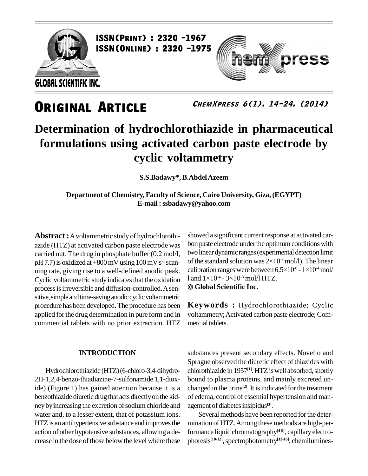

press

**ChemXpress 6(1), 14-24, (2014)**

### **Determination of hydrochlorothiazide in pharmaceutical formulations using activated carbon paste electrode by cyclic voltammetry**

**S.S.Badawy\*, B.AbdelAzeem**

**Department of Chemistry, Faculty of Science, Cairo University, Giza, (EGYPT) E-mail :[ssbadawy@yahoo.com](mailto:ssbadawy@yahoo.co)**

**Abstract:**Avoltammetric study of hydrochlorothi azide (HTZ) at activated carbon paste electrode was carried out. The drug in phosphate buffer (0.2 mol/l, pH 7.7) is oxidized at  $+800$  mV using  $100$  mV s<sup>-1</sup> scan- of th ning rate, giving rise to a well-defined anodic peak. calibration ranges were between 6<br>Cyclic voltammetric study indicates that the oxidation  $1$  and  $1 \times 10^{-4}$  -  $3 \times 10^{-3}$  mol/l HTZ. Cyclic voltammetric study indicates that the oxidation processisirreversible and diffusion-controlled.Asen sitive, simple and time-saving anodic cyclic voltammetric procedure hasbeen developed.The procedure has been applied forthe drug determination in pure form and in commercial tablets with no prior extraction. HTZ

### **INTRODUCTION**

Hydrochlorothiazide (HTZ)(6-chloro-3,4-dihydro- 2H-1,2,4-benzo-thiadiazine-7-sulfonamide 1,1-dioxide) (Figure 1) has gained attention because it is a benzothiazide diuretic drug that acts directly on the kidney by increasing the excretion of sodium chloride and water and, to a lesser extent, that of potassium ions. HTZ is an antihypertensive substance and improves the action of other hypotensive substances, allowing a de crease in the dose of those below the level where these

showed a significant current response at activated carbon paste electrode under the optimum conditions with two linear dynamic ranges (experimental detection limit bon paste electrode under the optimum condit<br>two linear dynamic ranges (experimental dete<br>of the standard solution was  $2\times10^{-6}\,\mathrm{mol/L}$ . -6 mol/l). The linear two linear dynamic ranges (experimental detection limit<br>of the standard solution was  $2\times10^{-6}$  mol/l). The linear<br>calibration ranges were between  $6.5\times10^{-6}$  -  $1\times10^{-4}$  mol/  $-4$  mol/ of the standard solution was  $2\times10^6$  m<br>calibration ranges were between 6.5×1<br>l and  $1\times10^4$  -  $3\times10^3$  mol/l HTZ. **Global Scientific Inc.**

**Keywords :** Hydrochlorothiazide; Cyclic voltammetry; Activated carbon paste electrode; Commercial tablets.

substances present secondary effects. Novello and Sprague observed the diuretic effect of thiazides with chlorothiazide in 1957 **[1]**.HTZiswell absorbed,shortly bound to plasma proteins, and mainly excreted un changed in the urine **[2]**.It isindicated forthe treatment of edema, control of essential hypertension and man agement of diabetes insipidus<sup>[3]</sup>.

Several methods have been reported for the determination of HTZ. Among these methods are high-performance liquid chromatography **[4-9]**, capillaryelectro phoresis<sup>[10-12]</sup>, spectrophotometry<sup>[13-16]</sup>, chemilumines-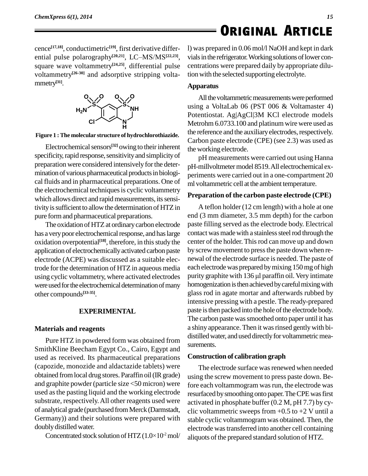*15*

cence **[17,18]**, conductimetric **[19]**, first derivative differ ence<sup>[17,18]</sup>, conductimetric<sup>[19]</sup>, first derivative differ- 1) v<br>ential pulse polarography<sup>[20,21]</sup>, LC–MS/MS<sup>[22,23]</sup>, via square wave voltammetry<sup>[24,25]</sup>, differential pulse centra voltammetry<sup>[26-30]</sup> and adsorptive stripping volta- tion mmetry **[31]**.



**Figure 1 : The molecular structure of hydrochlorothiazide.**

Electrochemical sensors<sup>[32]</sup> owing to their inherent  $\mathbf{f}_{\text{the}}$ specificity, rapid response, sensitivity and simplicity of preparation were considered intensively for the determination of various pharmaceutical products in biological fluids and in pharmaceutical preparations. One of the electrochemical techniques is cyclic voltammetry which allows direct and rapid measurements, its sensitivity is sufficient to allow the determination of HTZ in pure formand pharmaceutical preparations.

The oxidation of HTZ at ordinary carbon electrode has a very poor electrochemical response, and has large oxidation overpotential<sup>[18]</sup>, therefore, in this study the center application of electrochemically activated carbon paste by screw movement to press the paste down when reelectrode (ACPE) was discussed as a suitable electrode for the determination of HTZ in aqueous media using cyclic voltammetry, where activated electrodes purity graphite with 136 µl paraffin oil. Very intimate were used for the electrochemical determination of many other compounds **[33-35]**.

### **EXPERIMENTAL**

### **Materials and reagents**

Pure HTZ in powdered form was obtained from SmithKline Beecham Egypt Co., Cairo, Egypt and used as received. Its pharmaceutical preparations (capozide, monozide and aldactazide tablets) were obtained from local drug stores. Paraffin oil (IR grade) and graphite powder (particle size <50 micron) were used asthe pasting liquid and the working electrode substrate, respectively.All other reagents used were of analytical grade (purchased fromMerck (Darmstadt, Germany)) and their solutions were prepared with stable of<br>doubly distilled water. <br>Concentrated stock solution of  $HTZ(1.0\times10^2 \text{ mol}/\text{}$  aliquot doublydistilled water.

Concentrated stock solution of HTZ  $(1.0 \times 10^2 \text{ mol})$ 

l) was prepared in 0.06 mol/l NaOH and kept in dark vials in the refrigerator. Working solutions of lower concentrations were prepared daily by appropriate dilution with the selected supporting electrolyte.

### **Apparatus**

All the voltammetric measurements were performed using a VoltaLab 06 (PST 006 & Voltamaster 4) Potentiostat. Ag|AgCl|3M KCl electrode models Metrohm 6.0733.100 and platinum wire were used as the reference and the auxiliary electrodes, respectively. Carbon paste electrode (CPE) (see 2.3) was used as the working electrode.

pH measurements were carried out using Hanna pH-millvoltmetermodel 8519.All electrochemical ex periments were carried out in a one-compartment 20 ml voltammetric cell at the ambient temperature.

### **Preparation of the carbon paste electrode (CPE)**

A teflon holder (12 cm length) with a hole at one end (3 mm diameter, 3.5 mm depth) for the carbon paste filling served as the electrode body. Electrical contact was made with a stainless steel rod through the center of the holder. Thisrod can move up and down by screw movement to press the paste down when re-<br>newal of the electrode surface is needed. The paste of each electrodewas prepared bymixing 150mg of high newal of the electrode surface is needed. The paste of<br>each electrode was prepared by mixing 150 mg of high<br>purity graphite with 136 µl paraffin oil. Very intimate homogenization is then achieved by careful mixing with glass rod in agate mortar and afterwards rubbed by intensive pressing with a pestle. The ready-prepared paste is then packed into the hole of the electrode body. The carbon paste was smoothed onto paper until it has a shiny appearance. Then it was rinsed gently with bi-<br>distilled water, and used directly for voltammetric measurements.

### **Construction of calibration graph**

The electrode surface was renewed when needed using the screw movement to press paste down. Before each voltammogram was run, the electrode was resurfaced bysmoothing onto paper.TheCPEwasfirst activated in phosphate buffer (0.2 M, pH 7.7) by cy clic voltammetric sweeps from  $+0.5$  to  $+2$  V until a stable cyclic voltammogram was obtained. Then, the electrode wastransferred into another cell containing aliquots of the prepared standard solution of HTZ.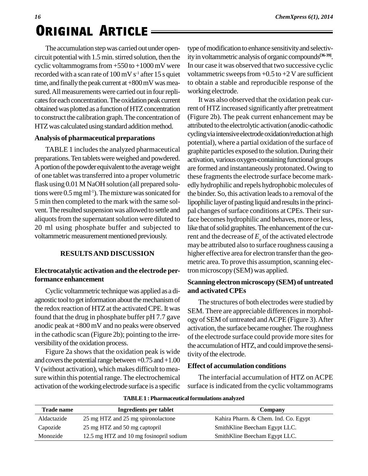# *<sup>16</sup>* **. Original ArticleORIGINAL ARTICLE**

The accumulation step was carried out under opencircuit potential with 1.5 min. stirred solution, then the cyclic voltammograms from  $+550$  to  $+1000$  mV were recorded with a scan rate of  $100 \,\mathrm{mV} \,\mathrm{s}^{-1}$  after  $15 \,\mathrm{s}$  quiet vo time, and finally the peak current at  $+800 \,\mathrm{mV}$  was measured. All measurements were carried out in four replicates for each concentration. The oxidation peak current obtained was plotted as a function of HTZ concentration to construct the calibration graph. The concentration of HTZ was calculated using standard addition method.

### **Analysis of pharmaceutical preparations**

TABLE 1 includes the analyzed pharmaceutical preparations. Ten tablets were weighed and powdered. A portion of the powder equivalent to the average weight of one tablet wastransferred into a proper volumetric flask using 0.01 M NaOH solution (all prepared solutions were  $0.5 \text{ mg ml}^{-1}$ ). The mixture was sonicated for the 5 min then completed to the mark with the same sol vent.The resulted suspensionwas allowed to settle and aliquots from the supernatant solution were diluted to 20 ml using phosphate buffer and subjected to voltammetric measurement mentioned previously.

### **RESULTSAND DISCUSSION**

### **Electrocatalytic activation and the electrode performance enhancement**

Cyclic voltammetric techniquewas applied as a di agnostic tool to get information about the mechanism of the redox reaction of HTZ at the activated CPE. It was found that the drug in phosphate buffer  $pH 7.7$  gave anodic peak at  $+800$  mV and no peaks were observed in the cathodic scan (Figure 2b); pointing to the irre versibility of the oxidation process.

Figure 2a shows that the oxidation peak is wide and covers the potential range between  $+0.75$  and  $+1.00$ V (without activation), which makes difficult to mea sure within this potential range. The electrochemical activation of the working electrode surface is a specific type of modification to enhance sensitivity and selectivityin voltammetric analysis oforganic compounds **[36-39]**. In our case it was observed that two successive cyclic voltammetric sweeps from  $+0.5$  to  $+2$  V are sufficient to obtain a stable and reproducible response of the working electrode.

It was also observed that the oxidation peak current of HTZincreased significantly after pretreatment (Figure 2b). The peak current enhancement may be attributed to the electrolytic activation (anodic-cathodic cycling via intensive electrode oxidation/reduction at high potential), where a partial oxidation of the surface of graphite particles exposed to the solution.During their activation, various oxygen-containing functional groups are formed and instantaneously protonated. Owing to these fragments the electrode surface become markedly hydrophilic and repels hydrophobic molecules of the binder. So, this activation leads to a removal of the lipophilic layer of pasting liquid and results in the principal changes of surface conditions at CPEs. Their surface becomes hydrophilic and behaves, more or less, like that of solid graphites. The enhancement of the current and the decrease of  $E_{\text{p}}$  of the activated electrode may be attributed also to surface roughness causing a higher effective area for electron transferthan the geo metric area. To prove this assumption, scanning electron microscopy(SEM) was applied.

### **Scanning electron microscopy (SEM) of untreated and activated CPEs**

The structures of both electrodes were studied by SEM. There are appreciable differences in morphology of SEM of untreated andACPE (Figure 3).After activation, the surface became rougher.The roughness of the electrode surface could provide more sites for the accumulation of HTZ, and could improve the sensitivity of the electrode.

### **Effect of accumulation conditions**

The interfacial accumulation of HTZ on ACPE surface is indicated from the cyclic voltammograms

| <b>Trade name</b> | Ingredients per tablet                  | Company                              |
|-------------------|-----------------------------------------|--------------------------------------|
| Aldactazide       | 25 mg HTZ and 25 mg spironolactone      | Kahira Pharm. & Chem. Ind. Co. Egypt |
| Capozide          | 25 mg HTZ and 50 mg captopril           | SmithKline Beecham Egypt LLC.        |
| Monozide          | 12.5 mg HTZ and 10 mg fosinopril sodium | SmithKline Beecham Egypt LLC.        |

#### **TABLE1 :Pharmaceuticalformulations analyzed**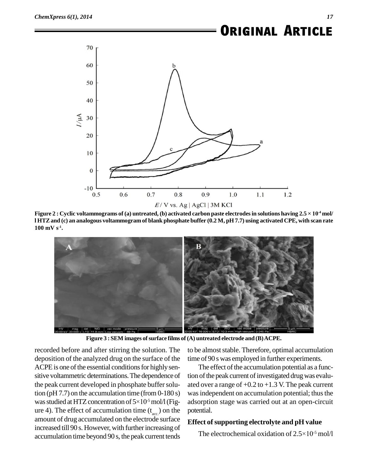

1 HTZ and (c) an analogous voltammogram of blank phosphate buffer (0.2 M, pH 7.7) using activated CPE, with scan rate  $100 \text{ mV s}^{-1}$ .



**Figure 3 : SEM images ofsurface films of (A) untreated electrode and (B)ACPE.**

recorded before and after stirring the solution. The deposition of the analyzed drug on the surface of the ACPE is one of the essential conditions for highly sensitive voltammetric determinations.The dependence of the peak current developed in phosphate buffer solution (pH  $7.7$ ) on the accumulation time (from  $0-180$  s) the peak current developed in phosphate buffer solu-<br>tion (pH 7.7) on the accumulation time (from 0-180 s) was<br>was studied at HTZ concentration of  $5\times10^{-5}$  mol/l (Fig- ads ure 4). The effect of accumulation time  $(t_{\text{acc}})$  on the potent amount of drug accumulated on the electrode surface increased till 90 s. However, with further increasing of accumulation time beyond 90 s, the peak current tends

to be almost stable. Therefore, optimal accumulation time of 90 s was employed in further experiments.

The effect of the accumulation potential as a function of the peak current of investigated drug was evaluated over a range of  $+0.2$  to  $+1.3$  V. The peak current was independent on accumulation potential; thus the adsorption stage was carried out at an open-circuit potential.

### **Effect ofsupporting electrolyte and pH value**

nam.<br>e**ct of supporting electrolyte and pH value**<br>The electrochemical oxidation of 2.5×10<sup>-5</sup> mol/l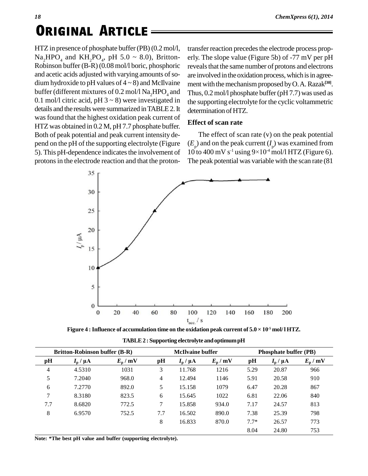HTZ in presence of phosphate buffer(PB) (0.2 mol/l,  $\text{Na}_2\text{HPO}_4$  and  $\text{KH}_2\text{PO}_4$ , pH 5.0 ~ 8.0), Britton- erly Robinson buffer (B-R)(0.08 mol/l boric, phosphoric and acetic acids adjusted with varying amounts of sodium hydroxide to pH values of  $4 \sim 8$ ) and McIlvaine buffer (different mixtures of 0.2 mol/l  $\text{Na}_{2}$  HPO<sub>4</sub> and 0.1 mol/l citric acid, pH  $3 \sim 8$ ) were investigated in details and the results were summarized in TABLE 2. It was found that the highest oxidation peak current of

HTZ was obtained in 0.2 M, pH 7.7 phosphate buffer. Both of peak potential and peak current intensity de pend on the pH of the supporting electrolyte (Figure 5). This pH-dependence indicates the involvement of protons in the electrode reaction and that the protontransfer reaction precedes the electrode process properly. The slope value (Figure 5b) of -77 mV per pH reveals that the same number of protons and electrons are involved in the oxidation process, which is in agreement with the mechanism proposed by O.A. Razak<sup>[30]</sup>. Thus,  $0.2$  mol/l phosphate buffer (pH 7.7) was used as the supporting electrolyte for the cyclic voltammetric determination of HTZ.

### **Effect of scan rate**

The effect of scan rate (v) on the peak potential<br>and on the peak current  $(I_p)$  was examined from<br>o 400 mV s<sup>-1</sup> using  $9\times10^{-4}$  mol/l HTZ (Figure 6).  $(E_p)$  and on the peak current  $(I_p)$  was examined from 10 to 400 mV s<sup>-1</sup> using  $9\times10^4$  mol/l HTZ (Figure 6). The peak potential was variable with the scan rate (81



| <b>Britton-Robinson buffer (B-R)</b> |                       |                  |     | <b>McIlvaine buffer</b> |                  |        | <b>Phosphate buffer (PB)</b> |                  |  |
|--------------------------------------|-----------------------|------------------|-----|-------------------------|------------------|--------|------------------------------|------------------|--|
| pH                                   | $I_{\rm p}$ / $\mu$ A | $E_{\rm p}$ / mV | pH  | $I_{\rm p}$ / $\mu$ A   | $E_{\rm p}$ / mV | pH     | $I_{\rm p}$ / $\mu$ A        | $E_{\rm p}$ / mV |  |
| 4                                    | 4.5310                | 1031             | 3   | 11.768                  | 1216             | 5.29   | 20.87                        | 966              |  |
| 5                                    | 7.2040                | 968.0            | 4   | 12.494                  | 1146             | 5.91   | 20.58                        | 910              |  |
| 6                                    | 7.2770                | 892.0            | 5   | 15.158                  | 1079             | 6.47   | 20.28                        | 867              |  |
| 7                                    | 8.3180                | 823.5            | 6   | 15.645                  | 1022             | 6.81   | 22.06                        | 840              |  |
| 7.7                                  | 8.6820                | 772.5            | 7   | 15.858                  | 934.0            | 7.17   | 24.57                        | 813              |  |
| 8                                    | 6.9570                | 752.5            | 7.7 | 16.502                  | 890.0            | 7.38   | 25.39                        | 798              |  |
|                                      |                       |                  | 8   | 16.833                  | 870.0            | $7.7*$ | 26.57                        | 773              |  |
|                                      |                       |                  |     |                         |                  | 8.04   | 24.80                        | 753              |  |

**TABLE2 : Supporting electrolyte andoptimumpH**

**Note: \*The best pH value and buffer (supporting electrolyte).**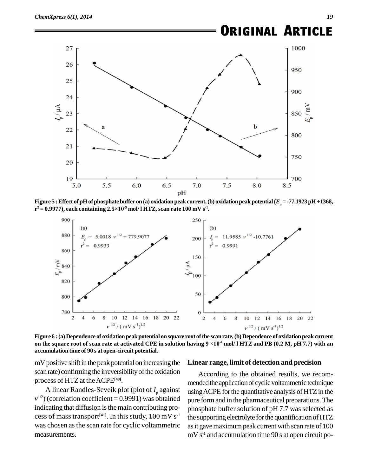

pH<br>Figure 5 : Effect of pH of phosphate buffer on (a) oxidation peak current, (b) oxidation peak potential ( $E_{\rm p}$  = -77.1923 pH +1368,<br>r² = 0.9977), each containing 2.5×10<sup>-5</sup> mol/ l HTZ, scan rate 100 mV s<sup>-1</sup>. **-5 mol/ l HTZ, scan rate 100 mV s -1 .**



**Figure 6 :(a) Dependence of oxidationpeakpotential on square root ofthe scanrate,(b)Dependence of oxidation peakcurrent on the square root of scan rate at activated CPE in solution having <sup>9</sup> ×10** on the square root of scan rate at activated CPE in solution having  $9 \times 10^4$  mol/ 1 HTZ and PB (0.2 M, pH 7.7) with an **accumulation time of 90 s at open-circuit potential.**

 $mV$  positive shift in the peak potential on increasing the scan rate) confirming the irreversibility of the oxidation process of HTZ at theACPE **[40]**.

A linear Randles-Seveik plot (plot of *I*<sub>p</sub> against usi  $v^{1/2}$ ) (correlation coefficient = 0.9991) was obtained pure fo indicating that diffusion is the main contributing process of mass transport<sup>[41]</sup>. In this study,  $100 \text{ mV s}^{-1}$  the supper was chosen as the scan rate for cyclic voltammetric measurements.

#### **Linear range, limit of detection and precision**

<sup>-1</sup> the supporting electrolyte for the quantification of HTZ According to the obtained results, we recom mended the application of cyclic voltammetric technique using ACPE for the quantitative analysis of HTZ in the pure formand in the pharmaceutical preparations.The phosphate buffer solution of pH 7.7 was selected as as it gave maximum peak current with scan rate of 100  $mV s<sup>-1</sup>$  and accumulation time 90 s at open circuit po-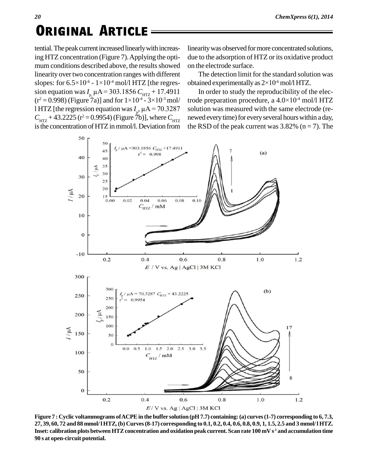tential. The peak current increased linearly with increasing HTZ concentration (Figure 7). Applying the optimum conditions described above, the results showed linearity over two concentration ranges with different mum conditions described above, the<br>linearity over two concentration range<br>slopes: for  $6.5 \times 10^{-6}$  -  $1 \times 10^{-4}$  mol/l H slopes: for  $6.5 \times 10^{-6}$  -  $1 \times 10^{-4}$  mol/l HTZ [the regreslinearity over two concentration ranges with different<br>slopes: for  $6.5 \times 10^{-6} - 1 \times 10^{-4}$  mol/l HTZ [the regres-<br>sion equation was  $I_{p}$ ,  $\mu A = 303.1856$   $C_{HTZ} + 17.4911$  In  $(r^2 = 0.998)$  (Figure 7a)] and for  $1 \times 10^{-4}$  -  $3 \times 10^{-3}$  mol/ tro opes: for  $6.5 \times 10^{-6}$  -  $1 \times 10^{-4}$  mol/l HTZ [the regres-<br>on equation was  $I_{p,} \mu A = 303.1856 C_{HTZ} + 17.4911$ <br> $2 = 0.998$ ) (Figure 7a)] and for  $1 \times 10^{-4}$  -  $3 \times 10^{-3}$  mol/ l HTZ [the regression equation was  $I_p$ ,  $\mu$ A =  $C_{\text{HTZ}} + 17.4911$  In (<br>  $C_{\text{HTZ}} + 3 \times 10^{-3}$  mol/ trode p<br>  $\mu$  = 70.3287 solution  $C_{\text{HTZ}} + 43.2225 \text{ (r}^2 = 0.9954) \text{ (Figure 7b)}$ , where  $C_{\text{HTZ}}$  new is the concentration of HTZ in mmol/l. Deviation from

linearitywas observed formore concentrated solutions, due to the adsorption of HTZ or its oxidative product on the electrode surface.

The detection limit for the standard solution was on the electrode surface.<br>The detection limit for the standard solution v<br>obtained experimentally as  $2\times10^{-6}$  mol/l HTZ.

In order to study the reproducibility of the elecobtained experimentally as  $2\times10^{-6}$  mol/l HTZ.<br>In order to study the reproducibility of the e<br>trode preparation procedure, a  $4.0\times10^{-4}$  mol/l H trode preparation procedure, a  $4.0 \times 10^{-4}$  mol/l HTZ solution was measured with the same electrode (re newed every time) for every several hours within a day, the RSD of the peak current was  $3.82\%$  (n = 7). The



Figure 7 : Cyclic voltammograms of ACPE in the buffer solution (pH 7.7) containing: (a) curves (1-7) corresponding to 6, 7.3, 27, 39, 60, 72 and 88 mmol/1 HTZ, (b) Curves (8-17) corresponding to 0.1, 0.2, 0.4, 0.6, 0.8, 0.9, 1, 1.5, 2.5 and 3 mmol/1 HTZ. Inset: calibration plots between HTZ concentration and oxidation peak current. Scan rate 100 mV s<sup>-1</sup> and accumulation time **90 s at open-circuit potential.**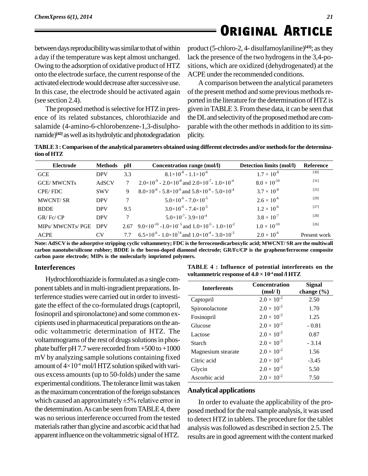*21*

between days reproducibility was similar to that of within a day if the temperature was kept almost unchanged. Owing to the adsorption of oxidative product of HTZ onto the electrode surface, the current response of the activated electrode would decrease after successive use. In this case, the electrode should be activated again (see section 2.4).

The proposed method is selective for HTZ in presence of its related substances, chlorothiazide and salamide (4-amino-6-chlorobenzene-1,3-disulpho namide)<sup>[42]</sup> as well as its hydrolytic and photodegradation plicity.

product(5-chloro-2, 4- disulfamoylaniline) **[43]**; asthey lack the presence of the two hydrogens in the 3,4-positions, which are oxidized (dehydrogenated) at the ACPE under the recommended conditions.

A comparison between the analytical parameters of the present method and some previous methods reported in the literature for the determination of HTZ is given inTABLE 3. Fromthese data, it can be seen that the DL and selectivity of the proposed method are comparable with the other methods in addition to its simplicity.

**TABLE3 : Comparison of the analytical parameters obtained using different electrodes and/or methodsfor the determination ofHTZ**

| Electrode         | <b>Methods</b> | pН   | Concentration range (mol/l)                                                                 | Detection limits (mol/l) | Reference    |
|-------------------|----------------|------|---------------------------------------------------------------------------------------------|--------------------------|--------------|
| GCE               | <b>DPV</b>     | 3.3  | $8.1\times10^{-8} - 1.1\times10^{-6}$                                                       | $1.7 \times 10^{-8}$     | $[30]$       |
| <b>GCE/MWCNTs</b> | AdSCV          |      | $2.0\times10^{-9}$ - 2.0×10 <sup>-8</sup> and 2.0×10 <sup>-7</sup> - 1.0×10 <sup>-4</sup>   | $8.0 \times 10^{-10}$    | $[31]$       |
| CPE/FDC           | <b>SWV</b>     | 9    | $8.0\times10^{-8}$ - 5.8×10 <sup>-6</sup> and 5.8×10 <sup>-6</sup> - 5.0×10 <sup>-4</sup>   | $3.7 \times 10^{-8}$     | $[25]$       |
| <b>MWCNT/SR</b>   | <b>DPV</b>     |      | $5.0\times10^{-6}$ - $7.0\times10^{-5}$                                                     | $2.6 \times 10^{-6}$     | $[29]$       |
| <b>BDDE</b>       | <b>DPV</b>     | 9.5  | $3.0\times10^{-6}$ - $7.4\times10^{-5}$                                                     | $1.2 \times 10^{-6}$     | $[27]$       |
| GR/Fc/CP          | <b>DPV</b>     |      | $5.0\times10^{-7}$ - 3.9 $\times10^{-4}$                                                    | $3.8 \times 10^{-7}$     | $[28]$       |
| MIPs/ MWCNTs/ PGE | <b>DPV</b>     | 2.67 | 9.0×10 <sup>-10</sup> -1.0×10 <sup>-5</sup> and 1.0×10 <sup>-5</sup> - 1.0×10 <sup>-2</sup> | $1.0 \times 10^{-10}$    | $[26]$       |
| <b>ACPE</b>       | CV             |      | $6.5 \times 10^{-6}$ - $1.0 \times 10^{24}$ and $1.0 \times 10^{-4}$ - $3.0 \times 10^{-3}$ | $2.0 \times 10^{-6}$     | Present work |

Note: AdSCV is the adsorptive stripping cyclic voltammetry; FDC is the ferrocenedicarboxylic acid; MWCNT/SR are the multiwall **carbon nanotube/silicone rubber; BDDE is the boron-doped diamond electrode; GR/Fc/CP is the graphene/ferrocene composite carbon paste electrode; MIPs is the molecularly imprinted polymers.**

### **Interferences**

Hydrochlorothiazide is formulated as a single component tablets and in multi-ingradient preparations. Interference studies were carried out in order to investi gate the effect of the co-formulated drugs(captopril, fosinopril and spironolactone) and some common ex cipients used in pharmaceutical preparations on the an odic voltammetric determination of HTZ. The voltammograms of the rest of drugs solutions in phosphate buffer pH7.7 were recorded from  $+500$  to  $+1000$ mV by analyzing sample solutions containing fixed phate buffer pH 7.7 were recorded from +500 to +1000<br>mV by analyzing sample solutions containing fixed<br>amount of  $4\times10^4$  mol/l HTZ solution spiked with various excess amounts(up to 50-folds) under the same experimental conditions. The tolerance limit was taken<br>as the maximum concentration of the foreign substances Analyt<br>which caused an approximately  $\pm 5\%$  relative error in as the maximum concentration of the foreign substances the determination. As can be seen from TABLE 4, there was no serious interference occurred from the tested materials rather than glycine and ascorbic acid that had apparent influence on the voltammetric signal of HTZ.

| CI 5.                                                                                                            |  |
|------------------------------------------------------------------------------------------------------------------|--|
| TABLE 4 : Influence of potential interferents on the<br>voltammetric response of $4.0 \times 10^{-4}$ mol /l HTZ |  |
|                                                                                                                  |  |

| <b>Interferents</b> | <b>Concentration</b><br>(mod 1) | Signal<br>change $(\% )$ |
|---------------------|---------------------------------|--------------------------|
| Captopril           | $2.0 \times 10^{-2}$            | 2.50                     |
| Spironolactone      | $2.0 \times 10^{-2}$            | 1.70                     |
| Fosinopril          | $2.0 \times 10^{-2}$            | 1.25                     |
| Glucose             | $2.0 \times 10^{-2}$            | $-0.81$                  |
| Lactose             | $2.0 \times 10^{-2}$            | 0.87                     |
| Starch              | $2.0 \times 10^{-2}$            | $-3.14$                  |
| Magnesium stearate  | $2.0 \times 10^{-2}$            | 1.56                     |
| Citric acid         | $2.0 \times 10^{-2}$            | $-3.45$                  |
| Glycin              | $2.0 \times 10^{-2}$            | 5.50                     |
| Ascorbic acid       | $2.0 \times 10^{-2}$            | 7.50                     |

### **Analytical applications**

In order to evaluate the applicability of the pro posed method forthe realsample analysis, it was used to detect HTZin tablets. The procedure for the tablet analysis wasfollowed as described in section 2.5.The results are in good agreement with the content marked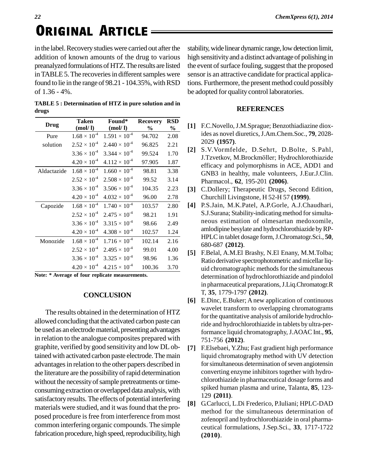in the label. Recovery studies were carried out after the addition of known amounts of the drug to various preanalyzed formulations of HTZ. The results are listed in TABLE 5. The recoveries in different samples were found to lie in the range of  $98.21 - 104.35\%$ , with RSD of 1.36 - 4%.

| drugs |                |                 |  |
|-------|----------------|-----------------|--|
|       | $\blacksquare$ | <b>D.C.</b> DOD |  |

| Drug        | Taken<br>(mod/l)      | Found*<br>(mod/1)      | <b>Recovery</b><br>$\%$ | <b>RSD</b><br>$\%$ | $[1]$            | F.C              |
|-------------|-----------------------|------------------------|-------------------------|--------------------|------------------|------------------|
| Pure        | $1.68 \times 10^{-4}$ | $1.591 \times 10^{-4}$ | 94.702                  | 2.08               |                  | ides             |
| solution    | $2.52 \times 10^{-4}$ | $2.440 \times 10^{-4}$ | 96.825                  | 2.21               |                  | 202              |
|             | $3.36 \times 10^{-4}$ | $3.344 \times 10^{-4}$ | 99.524                  | 1.70               | $[2]$            | S.V<br>J.T.      |
|             | $4.20 \times 10^{-4}$ | $4.112 \times 10^{-4}$ | 97.905                  | 1.87               |                  | effi             |
| Aldactazide | $1.68 \times 10^{-4}$ | $1.660 \times 10^{-4}$ | 98.81                   | 3.38               |                  | <b>GN</b>        |
|             | $2.52 \times 10^{-4}$ | $2.508 \times 10^{-4}$ | 99.52                   | 3.14               |                  | Pha              |
|             | $3.36 \times 10^{-4}$ | $3.506 \times 10^{-4}$ | 104.35                  | 2.23               | $[3]$            | C.L              |
|             | $4.20 \times 10^{-4}$ | $4.032 \times 10^{-4}$ | 96.00                   | 2.78               |                  | Chu              |
| Capozide    | $1.68 \times 10^{-4}$ | $1.740 \times 10^{-4}$ | 103.57                  | 2.80               | $[4]$            | P.S.             |
|             | $2.52 \times 10^{-4}$ | $2.475 \times 10^{-4}$ | 98.21                   | 1.91               |                  | S.J.             |
|             | $3.36 \times 10^{-4}$ | $3.315 \times 10^{-4}$ | 98.66                   | 2.49               |                  | neo              |
|             | $4.20 \times 10^{-4}$ | $4.308 \times 10^{-4}$ | 102.57                  | 1.24               |                  | aml              |
| Monozide    | $1.68 \times 10^{-4}$ | $1.716 \times 10^{-4}$ | 102.14                  | 2.16               |                  | <b>HP</b><br>680 |
|             | $2.52 \times 10^{-4}$ | $2.495 \times 10^{-4}$ | 99.01                   | 4.00               | $\left[5\right]$ | F.B              |
|             | $3.36 \times 10^{-4}$ | $3.325 \times 10^{-4}$ | 98.96                   | 1.36               |                  | Rati             |
|             | $4.20 \times 10^{-4}$ | $4.215 \times 10^{-4}$ | 100.36                  | 3.70               |                  | uid              |
| $\cdots$    |                       |                        |                         |                    |                  |                  |

**Note: \* Average of four replicate measurements.**

### **CONCLUSION**

The results obtained in the determination of HTZ allowed concluding that the activated carbon paste can be used as an electrode material, presenting advantages in relation to the analogue composites prepared with graphite, verified by good sensitivity and low DLobtained with activated carbon paste electrode. The main advantages in relation to the other papers described in the literature are the possibility of rapid determination without the necessity of sample pretreatments or timeconsumingextraction or overlapped data analysis,with satisfactory results. The effects of potential interfering [8] materials were studied, and it was found that the proposed procedure is free from interference from most common interfering organic compounds. The simple fabrication procedure, high speed, reproducibility, high

stability, wide linear dynamic range, low detection limit, high sensitivityand a distinct advantage of polishing in the event of surface fouling, suggest that the proposed sensor is an attractive candidate for practical applications. Furthermore, the present method could possibly be adopted for quality control laboratories.

#### **REFERENCES**

- **[1]** F.C.Novello,J.M.Sprague; Benzothiadiazine diox-**%** ides as novel diuretics,J.Am.Chem.Soc., **79**, 2028- 2029 **(1957)**.  $\%$  [1] F.C.NO
	- **[2]** S.V.Vormfelde, D.Sehrt, D.Bolte, S.Pahl, J.Tzvetkov, M.Brockmˆller; Hydrochlorothiazide efficacy and polymorphisms in ACE, ADD1 and GNB3 in healthy, male volunteers, J.Eur.J.Clin. Pharmacol., **62**, 195-201 **(2006)**.
- <sup>4</sup> 104.35 2.23 **[3]** C.Dollery; Therapeutic Drugs, Second Edition, Churchill Livingstone, H 52-H 57 **(1999)**.
- <sup>4</sup> 103.57 2.80 **[4]** P.S.Jain, M.K.Patel, A.P.Gorle, A.J.Chaudhari, S.J.Surana; Stability-indicating method for simultaneous estimation of olmesartan medoxomile, amlodipine besylate and hydrochlorothiazide byRP- HPLCin tablet dosage form,J.Chromatogr.Sci., **50**, 680-687 **(2012)**.
	- **[5]** F.Belal, A.M.El Brashy, N.El Enany, M.M.Tolba; Ratio derivative spectrophotometric and micellar liquid chromatographic methods for the simultaneous determination of hydrochlorothiazide and pindolol in pharmaceutical preparations, J.Liq.Chromatogr.R T, **35**, 1779-1797 **(2012)**.
	- **[6]** E.Dinc, E.Buker; A new application of continuous wavelet transform to overlapping chromatograms for the quantitative analysis of amiloride hydrochloride and hydrochlorothiazide in tablets by ultra-performance liquid chromatography, J.AOAC Int., **95**, 751-756 **(2012)**.
	- **[7]** F.Elsebaei, Y.Zhu; Fast gradient high performance liquid chromatography method with UV detection for simultaneous determination of seven angiotensin converting enzyme inhibitors together with hydro chlorothiazide in pharmaceutical dosage forms and spiked human plasma and urine, Talanta, **85**, 123- 129 **(2011)**.
	- **[8]** G.Carlucci, L.Di Frederico, P.Iuliani; HPLC-DAD method for the simultaneous determination of zofenopril and hydrochlorothiazide in oral pharma ceutical formulations, J.Sep.Sci., **33**, 1717-1722 **(2010)**.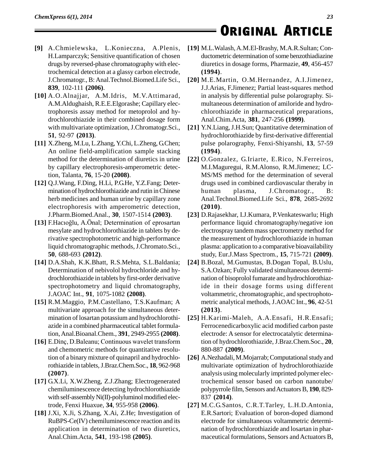- **[9]** A.Chmielewska, L.Konieczna, A.Plenis, H.Lamparczyk; Sensitive quantification of chosen drugs by reversed-phase chromatography with electrochemical detection at a glassy carbon electrode, J.Chromatogr., B: Anal.Technol.Biomed.Life Sci., **839**, 102-111 **(2006)**.
- **[10]** A.O.Alnajjar, A.M.Idris, M.V.Attimarad, A.M.Aldughaish, R.E.E.Elgorashe; Capillary electrophoresis assay method for metoprolol and hy drochlorothiazide in their combined dosage form with multivariate optimization, J.Chromatogr.Sci., **51**, 92-97 **(2013)**.
- **[11]** X.Zheng, M.Lu, L.Zhang, Y.Chi, L.Zheng, G.Chen; An online field-amplification sample stacking method for the determination of diuretics in urine by capillary electrophoresis-amperometric detection, Talanta, **76**, 15-20 **(2008)**.
- **[12]** Q.J.Wang, F.Ding, H.Li, P.G.He, Y.Z.Fang; Deter mination of hydrochlorothiazide and rutin inChinese herb medicines and human urine by capillary zone electrophoresis with amperometric detection, J.Pharm.Biomed.Anal., **30**, 1507-1514 **(2003)**.
- [13] F.Hacıoğlu, A.Önal; Determination of eprosartan mesylate and hydrochlorothiazide in tablets by derivative spectrophotometric and high-performance liquid chromatographic methods, J.Chromato.Sci., **50**, 688-693 **(2012)**.
- **[14]** D.A.Shah, K.K.Bhatt, R.S.Mehta, S.L.Baldania; Determination of nebivolol hydrochloride and hy drochlorothiazide in tablets by first-order derivative spectrophotometry and liquid chromatography, J.AOAC Int., **91**, 1075-1082 **(2008)**.
- **[15]** R.M.Maggio, P.M.Castellano, T.S.Kaufman; A multivariate approach for the simultaneous deter mination of losartan potassium and hydrochlorothi azide in a combined pharmaceutical tablet formulation,Anal.Bioanal.Chem., **391**, 2949-2955 **(2008)**.
- [16] E.Dinç, D.Baleanu; Continuous wavelet transform and chemometric methods for quantitative resolution of a binary mixture of quinapril and hydrochlorothiazide in tablets,J.Braz.Chem.Soc., **18**, 962-968 **(2007)**.
- **[17]** G.X.Li, X.W.Zheng, Z.J.Zhang; Electrogenerated chemiluminescence detecting hydrochlorothiazide with self-assembly  $Ni(II)$ -polyluminol modified electrode, Fenxi Huaxue, **34**, 955-958 **(2006)**.
- **[18]** J.Xi, X.Ji, S.Zhang, X.Ai, Z.He; Investigation of RuBPS-Ce(IV) chemiluminescence reaction and its application in determination of two diuretics, Anal.Chim.Acta, **541**, 193-198 **(2005)**.
- **[19]** M.L.Walash,A.M.El-Brashy, M.A.R.Sultan; Con ductometric determination of some benzothiadiazine diuretics in dosage forms, Pharmazie, **49**, 456-457 **(1994)**.
- **[20]** M.E.Martin, O.M.Hernandez, A.I.Jimenez, J.J.Arias, F.Jimenez; Partial least-squares method in analysis by differential pulse polarography. Si multaneous determination of amiloride and hydro chlorothiazide in pharmaceutical preparations, Anal.Chim.Acta, **381**, 247-256 **(1999)**.
- **[21]** Y.N.Liang,J.H.Sun; Quantitative determination of hydrochlorothiazide by first-derivative differential pulse polarography, Fenxi-Shiyanshi, **13**, 57-59 **(1994)**.
- **[22]** O.Gonzalez, G.Iriarte, E.Rico, N.Ferreiros, M.I.Maguregui, R.M.Alonso, R.M.Jimenez; LC- MS/MS method for the determination of several drugs used in combined cardiovascular theraby in plasma, J.Chromatogr., B: Anal.Technol.Biomed.Life Sci., **878**, 2685-2692 **(2010)**.
- **[23]** D.Rajasekhar, I.J.Kumara, P.Venkateswarlu; High performance liquid chromatography/negative ion electrospray tandem mass spectrometry method for the measurement of hydrochlorothiazide in human plasma: application to a comparative bioavailability study, Eur.J.Mass Spectrom., **15**, 715-721 **(2009)**.
- **[24]** B.Bozal, M.Gumustas, B.Dogan Topal, B.Uslu, S.A.Ozkan; Fully validated simultaneous determi nation of bisoprolol fumarate and hydrochlorothiazide in their dosage forms using different voltammetric, chromatographic, and spectrophoto metric analytical methods, J.AOAC Int., **96**, 42-51 **(2013)**.
- **[25]** H.Karimi-Maleh, A.A.Ensafi, H.R.Ensafi; Ferrocenedicarboxylic acid modified carbon paste electrode: A sensor for electrocatalytic determination of hydrochlorothiazide,J.Braz.Chem.Soc., **20**, 880-887 **(2009)**.
- [26] A.Nezhadali, M.Mojarrab; Computational study and multivariate optimization of hydrochlorothiazide analysis using molecularly imprinted polymer electrochemical sensor based on carbon nanotube/ polypyrrole film, Sensors andActuatorsB, **190**, 829- 837 **(2014)**.
- **[27]** M.C.G.Santos, C.R.T.Tarley, L.H.D.Antonia, E.R.Sartori; Evaluation of boron-doped diamond electrode for simultaneous voltammetric determi nation of hydrochlorothiazide and losartan in phar maceutical formulations, Sensors and Actuators B,